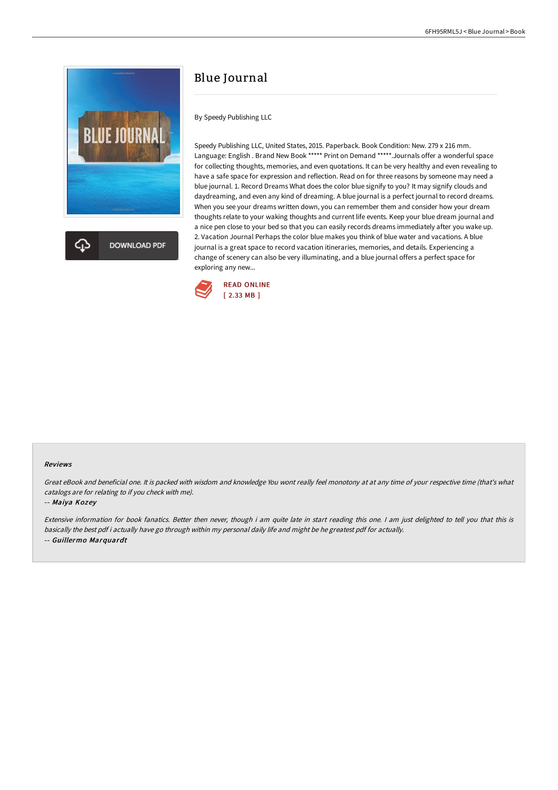

**DOWNLOAD PDF** 

# Blue Journal

By Speedy Publishing LLC

Speedy Publishing LLC, United States, 2015. Paperback. Book Condition: New. 279 x 216 mm. Language: English . Brand New Book \*\*\*\*\* Print on Demand \*\*\*\*\*.Journals offer a wonderful space for collecting thoughts, memories, and even quotations. It can be very healthy and even revealing to have a safe space for expression and reflection. Read on for three reasons by someone may need a blue journal. 1. Record Dreams What does the color blue signify to you? It may signify clouds and daydreaming, and even any kind of dreaming. A blue journal is a perfect journal to record dreams. When you see your dreams written down, you can remember them and consider how your dream thoughts relate to your waking thoughts and current life events. Keep your blue dream journal and a nice pen close to your bed so that you can easily records dreams immediately after you wake up. 2. Vacation Journal Perhaps the color blue makes you think of blue water and vacations. A blue journal is a great space to record vacation itineraries, memories, and details. Experiencing a change of scenery can also be very illuminating, and a blue journal offers a perfect space for exploring any new...



#### Reviews

Great eBook and beneficial one. It is packed with wisdom and knowledge You wont really feel monotony at at any time of your respective time (that's what catalogs are for relating to if you check with me).

#### -- Maiya Kozey

Extensive information for book fanatics. Better then never, though i am quite late in start reading this one. <sup>I</sup> am just delighted to tell you that this is basically the best pdf i actually have go through within my personal daily life and might be he greatest pdf for actually. -- Guillermo Marquardt